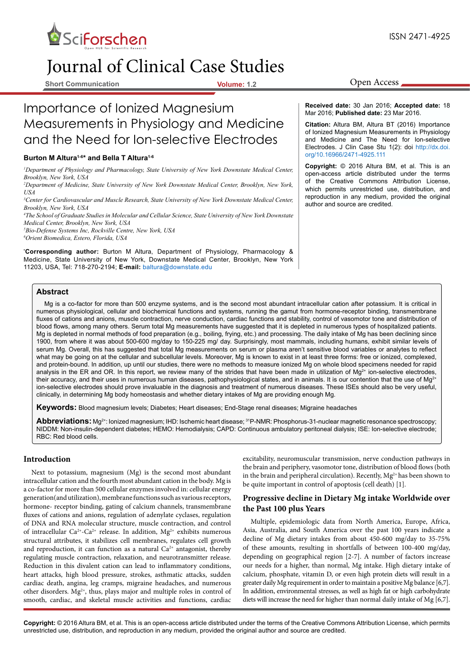

# Journal of Clinical Case Studies

**Short Communication Volume: 1.2**

# Importance of Ionized Magnesium Measurements in Physiology and Medicine and the Need for Ion-selective Electrodes

#### **Burton M Altura1-6\* and Bella T Altura1-6**

*1 Department of Physiology and Pharmacology, State University of New York Downstate Medical Center, Brooklyn, New York, USA*

*2 Department of Medicine, State University of New York Downstate Medical Center, Brooklyn, New York, USA*

*3 Center for Cardiovascular and Muscle Research, State University of New York Downstate Medical Center, Brooklyn, New York, USA*

*4 The School of Graduate Studies in Molecular and Cellular Science, State University of New York Downstate Medical Center, Brooklyn, New York, USA*

*5 Bio-Defense Systems Inc, Rockville Centre, New York, USA 6 Orient Biomedica, Estero, Florida, USA*

**\* Corresponding author:** Burton M Altura, Department of Physiology, Pharmacology & Medicine, State University of New York, Downstate Medical Center, Brooklyn, New York 11203, USA, Tel: 718-270-2194; **E-mail:** baltura@downstate.edu

Open Access

**Received date:** 30 Jan 2016; **Accepted date:** 18 Mar 2016; **Published date:** 23 Mar 2016.

**Citation:** Altura BM, Altura BT (2016) Importance of Ionized Magnesium Measurements in Physiology and Medicine and The Need for Ion-selective Electrodes. J Clin Case Stu 1(2): doi [http://dx.doi.](http://dx.doi.org/10.16966/2471-4925.111) [org/10.16966/2471-4925.111](http://dx.doi.org/10.16966/2471-4925.111)

**Copyright:** © 2016 Altura BM, et al. This is an open-access article distributed under the terms of the Creative Commons Attribution License, which permits unrestricted use, distribution, and reproduction in any medium, provided the original author and source are credited.

# **Abstract**

Mg is a co-factor for more than 500 enzyme systems, and is the second most abundant intracellular cation after potassium. It is critical in numerous physiological, cellular and biochemical functions and systems, running the gamut from hormone-receptor binding, transmembrane fluxes of cations and anions, muscle contraction, nerve conduction, cardiac functions and stability, control of vasomotor tone and distribution of blood flows, among many others. Serum total Mg measurements have suggested that it is depleted in numerous types of hospitalized patients. Mg is depleted in normal methods of food preparation (e.g., boiling, frying, etc.) and processing. The daily intake of Mg has been declining since 1900, from where it was about 500-600 mg/day to 150-225 mg/ day. Surprisingly, most mammals, including humans, exhibit similar levels of serum Mg. Overall, this has suggested that total Mg measurements on serum or plasma aren't sensitive blood variables or analytes to reflect what may be going on at the cellular and subcellular levels. Moreover, Mg is known to exist in at least three forms: free or ionized, complexed, and protein-bound. In addition, up until our studies, there were no methods to measure ionized Mg on whole blood specimens needed for rapid analysis in the ER and OR. In this report, we review many of the strides that have been made in utilization of  $Mg^{2+}$  ion-selective electrodes, their accuracy, and their uses in numerous human diseases, pathophysiological states, and in animals. It is our contention that the use of Mg<sup>2+</sup> ion-selective electrodes should prove invaluable in the diagnosis and treatment of numerous diseases. These ISEs should also be very useful, clinically, in determining Mg body homeostasis and whether dietary intakes of Mg are providing enough Mg.

**Keywords:** Blood magnesium levels; Diabetes; Heart diseases; End-Stage renal diseases; Migraine headaches

Abbreviations: Mg<sup>2+</sup>: Ionized magnesium; IHD: Ischemic heart disease; <sup>31</sup>P-NMR: Phosphorus-31-nuclear magnetic resonance spectroscopy; NIDDM: Non-insulin-dependent diabetes; HEMO: Hemodialysis; CAPD: Continuous ambulatory peritoneal dialysis; ISE: Ion-selective electrode; RBC: Red blood cells.

#### **Introduction**

Next to potassium, magnesium (Mg) is the second most abundant intracellular cation and the fourth most abundant cation in the body. Mg is a co-factor for more than 500 cellular enzymes involved in: cellular energy generation(and utilization), membrane functions such as various receptors, hormone- receptor binding, gating of calcium channels, transmembrane fluxes of cations and anions, regulation of adenylate cyclases, regulation of DNA and RNA molecular structure, muscle contraction, and control of intracellular Ca<sup>2+</sup>-Ca<sup>2+</sup> release. In addition,  $Mg^{2+}$  exhibits numerous structural attributes, it stabilizes cell membranes, regulates cell growth and reproduction, it can function as a natural  $Ca<sup>2+</sup>$  antagonist, thereby regulating muscle contraction, relaxation, and neurotransmitter release. Reduction in this divalent cation can lead to inflammatory conditions, heart attacks, high blood pressure, strokes, asthmatic attacks, sudden cardiac death, angina, leg cramps, migraine headaches, and numerous other disorders.  $Mg^{2+}$ , thus, plays major and multiple roles in control of smooth, cardiac, and skeletal muscle activities and functions, cardiac excitability, neuromuscular transmission, nerve conduction pathways in the brain and periphery, vasomotor tone, distribution of blood flows (both in the brain and peripheral circulation). Recently,  $Mg^{2+}$  has been shown to be quite important in control of apoptosis (cell death) [1].

## **Progressive decline in Dietary Mg intake Worldwide over the Past 100 plus Years**

Multiple, epidemiologic data from North America, Europe, Africa, Asia, Australia, and South America over the past 100 years indicate a decline of Mg dietary intakes from about 450-600 mg/day to 35-75% of these amounts, resulting in shortfalls of between 100-400 mg/day, depending on geographical region [2-7]. A number of factors increase our needs for a higher, than normal, Mg intake. High dietary intake of calcium, phosphate, vitamin D, or even high protein diets will result in a greater daily Mg requirement in order to maintain a positive Mg balance [6,7]. In addition, environmental stresses, as well as high fat or high carbohydrate diets will increase the need for higher than normal daily intake of Mg [6,7].

**Copyright:** © 2016 Altura BM, et al. This is an open-access article distributed under the terms of the Creative Commons Attribution License, which permits unrestricted use, distribution, and reproduction in any medium, provided the original author and source are credited.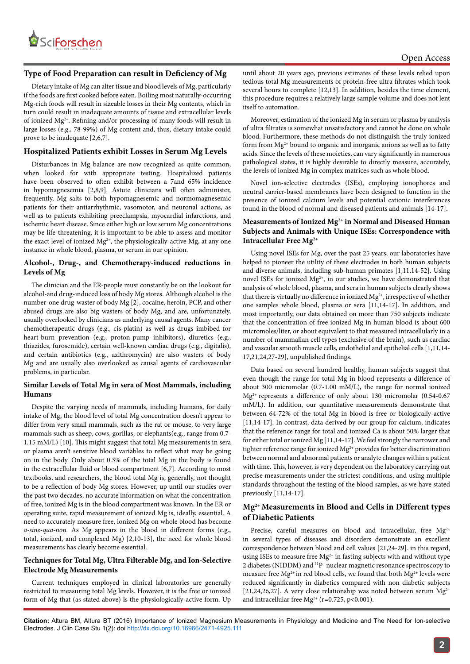

#### **Type of Food Preparation can result in Deficiency of Mg**

Dietary intake of Mg can alter tissue and blood levels of Mg, particularly if the foods are first cooked before eaten. Boiling most naturally-occurring Mg-rich foods will result in sizeable losses in their Mg contents, which in turn could result in inadequate amounts of tissue and extracellular levels of ionized Mg2+. Refining and/or processing of many foods will result in large losses (e.g., 78-99%) of Mg content and, thus, dietary intake could prove to be inadequate [2,6,7].

#### **Hospitalized Patients exhibit Losses in Serum Mg Levels**

Disturbances in Mg balance are now recognized as quite common, when looked for with appropriate testing. Hospitalized patients have been observed to often exhibit between a 7and 65% incidence in hypomagnesemia [2,8,9]. Astute clinicians will often administer, frequently, Mg salts to both hypomagnesemic and normomagnesemic patients for their antiarrhythmic, vasomotor, and neuronal actions, as well as to patients exhibiting preeclampsia, myocardial infarctions, and ischemic heart disease. Since either high or low serum Mg concentrations may be life-threatening, it is important to be able to assess and monitor the exact level of ionized  $Mg^{2+}$ , the physiologically-active Mg, at any one instance in whole blood, plasma, or serum in our opinion.

#### **Alcohol-, Drug-, and Chemotherapy-induced reductions in Levels of Mg**

The clinician and the ER-people must constantly be on the lookout for alcohol-and drug-induced loss of body Mg stores. Although alcohol is the number-one drug-waster of body Mg [2], cocaine, heroin, PCP, and other abused drugs are also big wasters of body Mg, and are, unfortunately, usually overlooked by clinicians as underlying causal agents. Many cancer chemotherapeutic drugs (e.g., cis-platin) as well as drugs imbibed for heart-burn prevention (e.g., proton-pump inhibitors), diuretics (e.g., thiazides, furosemide), certain well-known cardiac drugs (e.g., digitalis), and certain antibiotics (e.g., azithromycin) are also wasters of body Mg and are usually also overlooked as causal agents of cardiovascular problems, in particular.

#### **Similar Levels of Total Mg in sera of Most Mammals, including Humans**

Despite the varying needs of mammals, including humans, for daily intake of Mg, the blood level of total Mg concentration doesn't appear to differ from very small mammals, such as the rat or mouse, to very large mammals such as sheep, cows, gorillas, or elephants(e.g., range from 0.7- 1.15 mM/L) [10]. This might suggest that total Mg measurements in sera or plasma aren't sensitive blood variables to reflect what may be going on in the body. Only about 0.3% of the total Mg in the body is found in the extracellular fluid or blood compartment [6,7]. According to most textbooks, and researchers, the blood total Mg is, generally, not thought to be a reflection of body Mg stores. However, up until our studies over the past two decades, no accurate information on what the concentration of free, ionized Mg is in the blood compartment was known. In the ER or operating suite, rapid measurement of ionized Mg is, ideally, essential. A need to accurately measure free, ionized Mg on whole blood has become *a-sine-qua-non.* As Mg appears in the blood in different forms (e.g., total, ionized, and complexed Mg) [2,10-13], the need for whole blood measurements has clearly become essential.

#### **Techniques for Total Mg, Ultra Filterable Mg, and Ion-Selective Electrode Mg Measurements**

Current techniques employed in clinical laboratories are generally restricted to measuring total Mg levels. However, it is the free or ionized form of Mg that (as stated above) is the physiologically-active form. Up

until about 20 years ago, previous estimates of these levels relied upon tedious total Mg measurements of protein-free ultra filtrates which took several hours to complete [12,13]. In addition, besides the time element, this procedure requires a relatively large sample volume and does not lent itself to automation.

Moreover, estimation of the ionized Mg in serum or plasma by analysis of ultra filtrates is somewhat unsatisfactory and cannot be done on whole blood. Furthermore, these methods do not distinguish the truly ionized form from  $Mg^{2+}$  bound to organic and inorganic anions as well as to fatty acids. Since the levels of these moieties, can vary significantly in numerous pathological states, it is highly desirable to directly measure, accurately, the levels of ionized Mg in complex matrices such as whole blood.

Novel ion-selective electrodes (ISEs), employing ionophores and neutral carrier-based membranes have been designed to function in the presence of ionized calcium levels and potential cationic interferences found in the blood of normal and diseased patients and animals [14-17].

#### **Measurements of Ionized Mg2+ in Normal and Diseased Human Subjects and Animals with Unique ISEs: Correspondence with Intracellular Free Mg2+**

Using novel ISEs for Mg, over the past 25 years, our laboratories have helped to pioneer the utility of these electrodes in both human subjects and diverse animals, including sub-human primates [1,11,14-52]. Using novel ISEs for ionized Mg<sup>2+</sup>, in our studies, we have demonstrated that analysis of whole blood, plasma, and sera in human subjects clearly shows that there is virtually no difference in ionized  $Mg^{2+}$ , irrespective of whether one samples whole blood, plasma or sera [11,14-17]. In addition, and most importantly, our data obtained on more than 750 subjects indicate that the concentration of free ionized Mg in human blood is about 600 micromoles/liter, or about equivalent to that measured intracellularly in a number of mammalian cell types (exclusive of the brain), such as cardiac and vascular smooth muscle cells, endothelial and epithelial cells [1,11,14- 17,21,24,27-29], unpublished findings.

Data based on several hundred healthy, human subjects suggest that even though the range for total Mg in blood represents a difference of about 300 micromolar (0.7-1.00 mM/L), the range for normal ionized Mg2+ represents a difference of only about 130 micromolar (0.54-0.67 mM/L). In addition, our quantitative measurements demonstrate that between 64-72% of the total Mg in blood is free or biologically-active [11,14-17]. In contrast, data derived by our group for calcium, indicates that the reference range for total and ionized Ca is about 50% larger that for either total or ionized Mg [11,14-17]. We feel strongly the narrower and tighter reference range for ionized  $Mg^{2+}$  provides for better discrimination between normal and abnormal patients or analyte changes within a patient with time. This, however, is very dependent on the laboratory carrying out precise measurements under the strictest conditions, and using multiple standards throughout the testing of the blood samples, as we have stated previously [11,14-17].

# **Mg2+ Measurements in Blood and Cells in Different types of Diabetic Patients**

Precise, careful measures on blood and intracellular, free  $Mg^{2+}$ in several types of diseases and disorders demonstrate an excellent correspondence between blood and cell values [21,24-29]. in this regard, using ISEs to measure free  $Mg^{2+}$  in fasting subjects with and without type 2 diabetes (NIDDM) and 31P- nuclear magnetic resonance spectroscopy to measure free  $Mg^{2+}$  in red blood cells, we found that both  $Mg^{2+}$  levels were reduced significantly in diabetics compared with non diabetic subjects [21,24,26,27]. A very close relationship was noted between serum  $Mg^{2+}$ and intracellular free  $Mg^{2+}$  (r=0.725, p<0.001).

**Citation:** Altura BM, Altura BT (2016) Importance of Ionized Magnesium Measurements in Physiology and Medicine and The Need for Ion-selective Electrodes. J Clin Case Stu 1(2): doi<http://dx.doi.org/10.16966/2471-4925.111>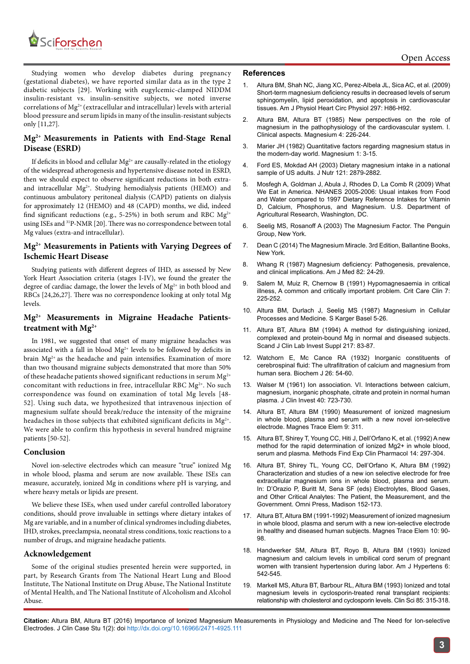

Studying women who develop diabetes during pregnancy (gestational diabetes), we have reported similar data as in the type 2 diabetic subjects [29]. Working with eugylcemic-clamped NIDDM insulin-resistant vs. insulin-sensitive subjects, we noted inverse correlations of Mg<sup>2+</sup> (extracellular and intracellular) levels with arterial blood pressure and serum lipids in many of the insulin-resistant subjects only [11,27].

# **Mg2+ Measurements in Patients with End-Stage Renal Disease (ESRD)**

If deficits in blood and cellular  $Mg^{2+}$  are causally-related in the etiology of the widespread atherogenesis and hypertensive disease noted in ESRD, then we should expect to observe significant reductions in both extraand intracellular  $Mg^{2+}$ . Studying hemodialysis patients (HEMO) and continuous ambulatory peritoneal dialysis (CAPD) patients on dialysis for approximately 12 (HEMO) and 48 (CAPD) months, we did, indeed find significant reductions (e.g., 5-25%) in both serum and RBC  $Mg^{2+}$ using ISEs and 31P-NMR [20]. There was no correspondence between total Mg values (extra-and intracellular).

# **Mg2+ Measurements in Patients with Varying Degrees of Ischemic Heart Disease**

Studying patients with different degrees of IHD, as assessed by New York Heart Association criteria (stages I-IV), we found the greater the degree of cardiac damage, the lower the levels of Mg<sup>2+</sup> in both blood and RBCs [24,26,27]. There was no correspondence looking at only total Mg levels.

## **Mg2+ Measurements in Migraine Headache Patientstreatment with Mg2+**

In 1981, we suggested that onset of many migraine headaches was associated with a fall in blood  $Mg^{2+}$  levels to be followed by deficits in brain  $Mg^{2+}$  as the headache and pain intensifies. Examination of more than two thousand migraine subjects demonstrated that more than 50% of these headache patients showed significant reductions in serum  $Mg^{2+}$ concomitant with reductions in free, intracellular RBC  $Mg^{2+}$ . No such correspondence was found on examination of total Mg levels [48- 52]. Using such data, we hypothesized that intravenous injection of magnesium sulfate should break/reduce the intensity of the migraine headaches in those subjects that exhibited significant deficits in  $Mg^{2+}$ . We were able to confirm this hypothesis in several hundred migraine patients [50-52].

#### **Conclusion**

Novel ion-selective electrodes which can measure "true" ionized Mg in whole blood, plasma and serum are now available. These ISEs can measure, accurately, ionized Mg in conditions where pH is varying, and where heavy metals or lipids are present.

We believe these ISEs, when used under careful controlled laboratory conditions, should prove invaluable in settings where dietary intakes of Mg are variable, and in a number of clinical syndromes including diabetes, IHD, strokes, preeclampsia, neonatal stress conditions, toxic reactions to a number of drugs, and migraine headache patients.

#### **Acknowledgement**

Some of the original studies presented herein were supported, in part, by Research Grants from The National Heart Lung and Blood Institute, The National Institute on Drug Abuse, The National Institute of Mental Health, and The National Institute of Alcoholism and Alcohol Abuse.

#### **References**

- 1. [Altura BM, Shah NC, Jiang XC, Perez-Albela JL, Sica AC, et al. \(2009\)](http://www.ncbi.nlm.nih.gov/pubmed/19429813) [Short-term magnesium deficiency results in decreased levels of serum](http://www.ncbi.nlm.nih.gov/pubmed/19429813) [sphingomyelin, lipid peroxidation, and apoptosis in cardiovascular](http://www.ncbi.nlm.nih.gov/pubmed/19429813) [tissues. Am J Physiol Heart Circ Physiol 297: H86-H92.](http://www.ncbi.nlm.nih.gov/pubmed/19429813)
- 2. [Altura BM, Altura BT \(1985\) New perspectives on the role of](http://www.ncbi.nlm.nih.gov/pubmed/3914580) [magnesium in the pathophysiology of the cardiovascular system. I.](http://www.ncbi.nlm.nih.gov/pubmed/3914580) [Clinical aspects. Magnesium 4: 226-244.](http://www.ncbi.nlm.nih.gov/pubmed/3914580)
- 3. [Marier JH \(1982\) Quantitative factors regarding magnesium status in](http://www.mgwater.com/articles/Rosanoff/(44) Quantitative Factors Regarding Magnesium Status in the Modern World.pdf) [the modern-day world. Magnesium 1: 3-15.](http://www.mgwater.com/articles/Rosanoff/(44) Quantitative Factors Regarding Magnesium Status in the Modern World.pdf)
- 4. [Ford ES, Mokdad AH \(2003\) Dietary magnesium intake in a national](http://www.ncbi.nlm.nih.gov/pubmed/12949381) [sample of US adults. J Nutr 121: 2879-2882.](http://www.ncbi.nlm.nih.gov/pubmed/12949381)
- 5. [Mosfegh A, Goldman J, Abula J, Rhodes D, La Comb R \(2009\) What](https://www.ars.usda.gov/SP2UserFiles/Place/80400530/pdf/0506/usual_nutrient_intake_vitD_ca_phos_mg_2005-06.pdf) [We Eat in America. NHANES 2005-2006: Usual intakes from Food](https://www.ars.usda.gov/SP2UserFiles/Place/80400530/pdf/0506/usual_nutrient_intake_vitD_ca_phos_mg_2005-06.pdf) [and Water compared to 1997 Dietary Reference Intakes for Vitamin](https://www.ars.usda.gov/SP2UserFiles/Place/80400530/pdf/0506/usual_nutrient_intake_vitD_ca_phos_mg_2005-06.pdf) [D, Calcium, Phosphorus, and Magnesium. U.S. Department of](https://www.ars.usda.gov/SP2UserFiles/Place/80400530/pdf/0506/usual_nutrient_intake_vitD_ca_phos_mg_2005-06.pdf) [Agricultural Research, Washington, DC.](https://www.ars.usda.gov/SP2UserFiles/Place/80400530/pdf/0506/usual_nutrient_intake_vitD_ca_phos_mg_2005-06.pdf)
- 6. [Seelig MS, Rosanoff A \(2003\) The Magnesium Factor. The Penguin](https://books.google.co.in/books?id=BuW6xwqlQfkC&printsec=frontcover&dq=The+Magnesium+Factor.&hl=en&sa=X&redir_esc=y) [Group, New York.](https://books.google.co.in/books?id=BuW6xwqlQfkC&printsec=frontcover&dq=The+Magnesium+Factor.&hl=en&sa=X&redir_esc=y)
- 7. Dean C (2014) The Magnesium Miracle. 3rd Edition, Ballantine Books, New York.
- 8. [Whang R \(1987\) Magnesium deficiency: Pathogenesis, prevalence,](http://www.ncbi.nlm.nih.gov/pubmed/3565424) [and clinical implications. Am J Med 82: 24-29.](http://www.ncbi.nlm.nih.gov/pubmed/3565424)
- 9. Salem M, Muiz R, Chernow B (1991) Hypomagnesaemia in critical illness, A common and critically important problem. Crit Care Clin 7: 225-252.
- 10. [Altura BM, Durlach J, Seelig MS \(1987\) Magnesium in Cellular](https://www.karger.com/Book/Home/221098) [Processes and Medicine. S Karger Basel 5-26.](https://www.karger.com/Book/Home/221098)
- 11. [Altura BT, Altura BM \(1994\) A method for distinguishing ionized,](http://www.ncbi.nlm.nih.gov/pubmed/7939389) [complexed and protein-bound Mg in normal and diseased subjects.](http://www.ncbi.nlm.nih.gov/pubmed/7939389) [Scand J Clin Lab Invest Suppl 217: 83-87.](http://www.ncbi.nlm.nih.gov/pubmed/7939389)
- 12. [Watchorn E, Mc Cance RA \(1932\) Inorganic constituents of](http://www.ncbi.nlm.nih.gov/pubmed/16744814) [cerebrospinal fluid: The ultrafiltration of calcium and magnesium from](http://www.ncbi.nlm.nih.gov/pubmed/16744814) [human sera. Biochem J 26: 54-60.](http://www.ncbi.nlm.nih.gov/pubmed/16744814)
- 13. [Walser M \(1961\) Ion association. VI. Interactions between calcium,](http://www.ncbi.nlm.nih.gov/pmc/articles/PMC373170/) [magnesium, inorganic phosphate, citrate and protein in normal human](http://www.ncbi.nlm.nih.gov/pmc/articles/PMC373170/) [plasma. J Clin Invest 40: 723-730.](http://www.ncbi.nlm.nih.gov/pmc/articles/PMC373170/)
- 14. Altura BT, Altura BM (1990) Measurement of ionized magnesium in whole blood, plasma and serum with a new novel ion-selective electrode. Magnes Trace Elem 9: 311.
- 15. [Altura BT, Shirey T, Young CC, Hiti J, Dell'Orfano K, et al. \(1992\) A new](http://www.ncbi.nlm.nih.gov/pubmed/1507932) [method for the rapid determination of ionized Mg2+ in whole blood,](http://www.ncbi.nlm.nih.gov/pubmed/1507932) [serum and plasma. Methods Find Exp Clin Pharmacol 14: 297-304.](http://www.ncbi.nlm.nih.gov/pubmed/1507932)
- 16. [Altura BT, Shirey TL, Young CC, Dell'Orfano K, Altura BM \(1992\)](https://books.google.co.in/books?id=ezRTMwEACAAJ&dq=Electrolytes,+Blood+Gases,+and+Other+Critical+Analytes:+The+Patient,+the+Measurement,+and+the+Government&hl=en&sa=X&ved=0ahUKEwjP7OHkzdvLAhXFi5QKHR8zB-oQ6AEIHDAA) [Characterization and studies of a new ion selective electrode for free](https://books.google.co.in/books?id=ezRTMwEACAAJ&dq=Electrolytes,+Blood+Gases,+and+Other+Critical+Analytes:+The+Patient,+the+Measurement,+and+the+Government&hl=en&sa=X&ved=0ahUKEwjP7OHkzdvLAhXFi5QKHR8zB-oQ6AEIHDAA) [extracellular magnesium ions in whole blood, plasma and serum.](https://books.google.co.in/books?id=ezRTMwEACAAJ&dq=Electrolytes,+Blood+Gases,+and+Other+Critical+Analytes:+The+Patient,+the+Measurement,+and+the+Government&hl=en&sa=X&ved=0ahUKEwjP7OHkzdvLAhXFi5QKHR8zB-oQ6AEIHDAA) [In: D'Orazio P, Buritt M, Sena SF \(eds\) Electrolytes, Blood Gases,](https://books.google.co.in/books?id=ezRTMwEACAAJ&dq=Electrolytes,+Blood+Gases,+and+Other+Critical+Analytes:+The+Patient,+the+Measurement,+and+the+Government&hl=en&sa=X&ved=0ahUKEwjP7OHkzdvLAhXFi5QKHR8zB-oQ6AEIHDAA) [and Other Critical Analytes: The Patient, the Measurement, and the](https://books.google.co.in/books?id=ezRTMwEACAAJ&dq=Electrolytes,+Blood+Gases,+and+Other+Critical+Analytes:+The+Patient,+the+Measurement,+and+the+Government&hl=en&sa=X&ved=0ahUKEwjP7OHkzdvLAhXFi5QKHR8zB-oQ6AEIHDAA) [Government. Omni Press, Madison 152-173.](https://books.google.co.in/books?id=ezRTMwEACAAJ&dq=Electrolytes,+Blood+Gases,+and+Other+Critical+Analytes:+The+Patient,+the+Measurement,+and+the+Government&hl=en&sa=X&ved=0ahUKEwjP7OHkzdvLAhXFi5QKHR8zB-oQ6AEIHDAA)
- 17. [Altura BT, Altura BM \(1991-1992\) Measurement of ionized magnesium](http://www.ncbi.nlm.nih.gov/pubmed/1844565) [in whole blood, plasma and serum with a new ion-selective electrode](http://www.ncbi.nlm.nih.gov/pubmed/1844565) [in healthy and diseased human subjects. Magnes Trace Elem 10: 90-](http://www.ncbi.nlm.nih.gov/pubmed/1844565) [98.](http://www.ncbi.nlm.nih.gov/pubmed/1844565)
- 18. [Handwerker SM, Altura BT, Royo B, Altura BM \(1993\) Ionized](http://www.ncbi.nlm.nih.gov/pubmed/8343240) [magnesium and calcium levels in umbilical cord serum of pregnant](http://www.ncbi.nlm.nih.gov/pubmed/8343240) [women with transient hypertension during labor. Am J Hypertens 6:](http://www.ncbi.nlm.nih.gov/pubmed/8343240) [542-545.](http://www.ncbi.nlm.nih.gov/pubmed/8343240)
- 19. [Markell MS, Altura BT, Barbour RL, Altura BM \(1993\) Ionized and total](http://www.ncbi.nlm.nih.gov/pubmed/8403804) [magnesium levels in cyclosporin-treated renal transplant recipients:](http://www.ncbi.nlm.nih.gov/pubmed/8403804) [relationship with cholesterol and cyclosporin levels. Clin Sci 85: 315-318.](http://www.ncbi.nlm.nih.gov/pubmed/8403804)

**Citation:** Altura BM, Altura BT (2016) Importance of Ionized Magnesium Measurements in Physiology and Medicine and The Need for Ion-selective Electrodes. J Clin Case Stu 1(2): doi<http://dx.doi.org/10.16966/2471-4925.111>